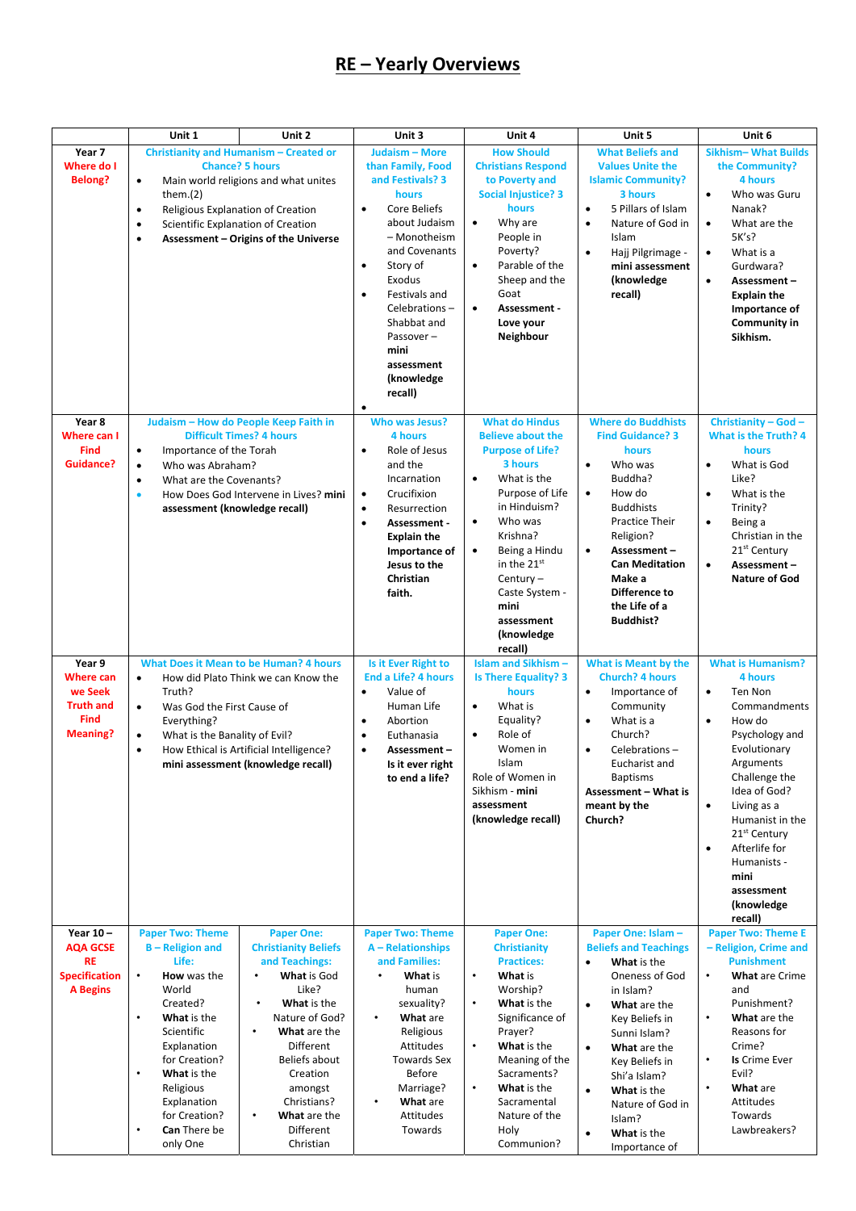## **RE – Yearly Overviews**

|                                                                                             | Unit 1                                                                                                                                                                                                                                                                                                            | Unit 2                                                                                                                                                                                                                                                                                     | Unit 3                                                                                                                                                                                                                                                                                                              | Unit 4                                                                                                                                                                                                                                                                                                                  | Unit 5                                                                                                                                                                                                                                                                                                                                             | Unit 6                                                                                                                                                                                                                                                                                                                                            |
|---------------------------------------------------------------------------------------------|-------------------------------------------------------------------------------------------------------------------------------------------------------------------------------------------------------------------------------------------------------------------------------------------------------------------|--------------------------------------------------------------------------------------------------------------------------------------------------------------------------------------------------------------------------------------------------------------------------------------------|---------------------------------------------------------------------------------------------------------------------------------------------------------------------------------------------------------------------------------------------------------------------------------------------------------------------|-------------------------------------------------------------------------------------------------------------------------------------------------------------------------------------------------------------------------------------------------------------------------------------------------------------------------|----------------------------------------------------------------------------------------------------------------------------------------------------------------------------------------------------------------------------------------------------------------------------------------------------------------------------------------------------|---------------------------------------------------------------------------------------------------------------------------------------------------------------------------------------------------------------------------------------------------------------------------------------------------------------------------------------------------|
| Year 7<br>Where do I<br><b>Belong?</b>                                                      | <b>Christianity and Humanism - Created or</b><br><b>Chance? 5 hours</b><br>Main world religions and what unites<br>$\bullet$<br>them. $(2)$<br>Religious Explanation of Creation<br>$\bullet$<br>Scientific Explanation of Creation<br>$\bullet$<br>Assessment - Origins of the Universe<br>$\bullet$             |                                                                                                                                                                                                                                                                                            | Judaism - More<br>than Family, Food<br>and Festivals? 3<br>hours<br>Core Beliefs<br>$\bullet$<br>about Judaism<br>- Monotheism<br>and Covenants<br>Story of<br>$\bullet$<br>Exodus<br><b>Festivals and</b><br>Celebrations-<br>Shabbat and<br>Passover-<br>mini<br>assessment<br>(knowledge<br>recall)<br>$\bullet$ | <b>How Should</b><br><b>Christians Respond</b><br>to Poverty and<br><b>Social Injustice? 3</b><br>hours<br>Why are<br>$\bullet$<br>People in<br>Poverty?<br>Parable of the<br>$\bullet$<br>Sheep and the<br>Goat<br>Assessment -<br>$\bullet$<br>Love your<br>Neighbour                                                 | <b>What Beliefs and</b><br><b>Values Unite the</b><br><b>Islamic Community?</b><br>3 hours<br>5 Pillars of Islam<br>$\bullet$<br>Nature of God in<br>$\bullet$<br>Islam<br>Hajj Pilgrimage -<br>$\bullet$<br>mini assessment<br>(knowledge<br>recall)                                                                                              | <b>Sikhism-What Builds</b><br>the Community?<br>4 hours<br>Who was Guru<br>$\bullet$<br>Nanak?<br>What are the<br>$\bullet$<br>5K's?<br>What is a<br>$\bullet$<br>Gurdwara?<br>$\bullet$<br>Assessment-<br><b>Explain the</b><br>Importance of<br>Community in<br>Sikhism.                                                                        |
| Year 8<br><b>Where can I</b><br><b>Find</b><br><b>Guidance?</b>                             | Judaism - How do People Keep Faith in<br><b>Difficult Times? 4 hours</b><br>Importance of the Torah<br>$\bullet$<br>Who was Abraham?<br>$\bullet$<br>What are the Covenants?<br>$\bullet$<br>How Does God Intervene in Lives? mini<br>$\bullet$<br>assessment (knowledge recall)                                  |                                                                                                                                                                                                                                                                                            | <b>Who was Jesus?</b><br>4 hours<br>Role of Jesus<br>$\bullet$<br>and the<br>Incarnation<br>Crucifixion<br>$\bullet$<br>Resurrection<br>$\bullet$<br>Assessment -<br>$\bullet$<br><b>Explain the</b><br>Importance of<br>Jesus to the<br>Christian<br>faith.                                                        | <b>What do Hindus</b><br><b>Believe about the</b><br><b>Purpose of Life?</b><br>3 hours<br>What is the<br>$\bullet$<br>Purpose of Life<br>in Hinduism?<br>Who was<br>$\bullet$<br>Krishna?<br>Being a Hindu<br>$\bullet$<br>in the 21st<br>Century $-$<br>Caste System -<br>mini<br>assessment<br>(knowledge<br>recall) | <b>Where do Buddhists</b><br><b>Find Guidance? 3</b><br>hours<br>Who was<br>$\bullet$<br>Buddha?<br>How do<br>$\bullet$<br><b>Buddhists</b><br><b>Practice Their</b><br>Religion?<br>Assessment-<br>$\bullet$<br><b>Can Meditation</b><br>Make a<br>Difference to<br>the Life of a<br><b>Buddhist?</b>                                             | Christianity - God -<br><b>What is the Truth? 4</b><br>hours<br>What is God<br>$\bullet$<br>Like?<br>What is the<br>$\bullet$<br>Trinity?<br>Being a<br>$\bullet$<br>Christian in the<br>21 <sup>st</sup> Century<br>Assessment-<br>$\bullet$<br><b>Nature of God</b>                                                                             |
| Year 9<br><b>Where can</b><br>we Seek<br><b>Truth and</b><br><b>Find</b><br><b>Meaning?</b> | <b>What Does it Mean to be Human? 4 hours</b><br>How did Plato Think we can Know the<br>$\bullet$<br>Truth?<br>Was God the First Cause of<br>$\bullet$<br>Everything?<br>What is the Banality of Evil?<br>$\bullet$<br>How Ethical is Artificial Intelligence?<br>$\bullet$<br>mini assessment (knowledge recall) |                                                                                                                                                                                                                                                                                            | Is it Ever Right to<br><b>End a Life? 4 hours</b><br>Value of<br>$\bullet$<br>Human Life<br>Abortion<br>$\bullet$<br>Euthanasia<br>$\bullet$<br>Assessment-<br>$\bullet$<br>Is it ever right<br>to end a life?                                                                                                      | <b>Islam and Sikhism-</b><br><b>Is There Equality? 3</b><br>hours<br>What is<br>$\bullet$<br>Equality?<br>Role of<br>Women in<br>Islam<br>Role of Women in<br>Sikhism - mini<br>assessment<br>(knowledge recall)                                                                                                        | <b>What is Meant by the</b><br><b>Church? 4 hours</b><br>Importance of<br>$\bullet$<br>Community<br>What is a<br>$\bullet$<br>Church?<br>Celebrations-<br>$\bullet$<br>Eucharist and<br><b>Baptisms</b><br><b>Assessment – What is</b><br>meant by the<br>Church?                                                                                  | <b>What is Humanism?</b><br>4 hours<br>Ten Non<br>٠<br>Commandments<br>How do<br>$\bullet$<br>Psychology and<br>Evolutionary<br>Arguments<br>Challenge the<br>Idea of God?<br>Living as a<br>$\bullet$<br>Humanist in the<br>21 <sup>st</sup> Century<br>Afterlife for<br>$\bullet$<br>Humanists -<br>mini<br>assessment<br>(knowledge<br>recall) |
| Year 10-<br><b>AQA GCSE</b><br><b>RE</b><br><b>Specification</b><br><b>A</b> Begins         | <b>Paper Two: Theme</b><br><b>B-Religion and</b><br>Life:<br>How was the<br>World<br>Created?<br>$\bullet$<br>What is the<br>Scientific<br>Explanation<br>for Creation?<br>$\bullet$<br>What is the<br>Religious<br>Explanation<br>for Creation?<br>Can There be<br>$\bullet$<br>only One                         | <b>Paper One:</b><br><b>Christianity Beliefs</b><br>and Teachings:<br><b>What is God</b><br>Like?<br>What is the<br>$\bullet$<br>Nature of God?<br>What are the<br>$\bullet$<br>Different<br>Beliefs about<br>Creation<br>amongst<br>Christians?<br>What are the<br>Different<br>Christian | <b>Paper Two: Theme</b><br>A - Relationships<br>and Families:<br>What is<br>human<br>sexuality?<br>What are<br>Religious<br>Attitudes<br>Towards Sex<br><b>Before</b><br>Marriage?<br>What are<br>Attitudes<br>Towards                                                                                              | <b>Paper One:</b><br><b>Christianity</b><br><b>Practices:</b><br>What is<br>$\bullet$<br>Worship?<br>What is the<br>$\bullet$<br>Significance of<br>Prayer?<br>What is the<br>$\bullet$<br>Meaning of the<br>Sacraments?<br>What is the<br>Sacramental<br>Nature of the<br>Holy<br>Communion?                           | Paper One: Islam -<br><b>Beliefs and Teachings</b><br>What is the<br>$\bullet$<br>Oneness of God<br>in Islam?<br>What are the<br>$\bullet$<br>Key Beliefs in<br>Sunni Islam?<br>What are the<br>$\bullet$<br>Key Beliefs in<br>Shi'a Islam?<br>What is the<br>$\bullet$<br>Nature of God in<br>Islam?<br>What is the<br>$\bullet$<br>Importance of | <b>Paper Two: Theme E</b><br>- Religion, Crime and<br><b>Punishment</b><br>$\bullet$<br><b>What are Crime</b><br>and<br>Punishment?<br>What are the<br>$\bullet$<br>Reasons for<br>Crime?<br>Is Crime Ever<br>$\bullet$<br>Evil?<br>What are<br>$\bullet$<br>Attitudes<br>Towards<br>Lawbreakers?                                                 |